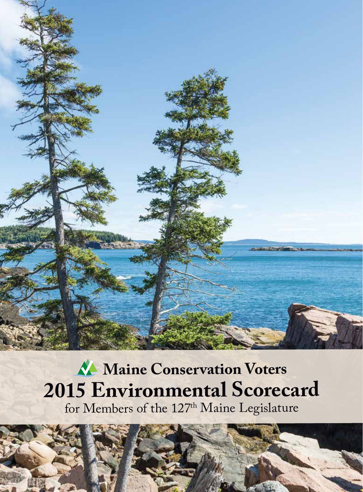

# **Maine Conservation Voters 2015 Environmental Scorecard**

for Members of the 127<sup>th</sup> Maine Legislature

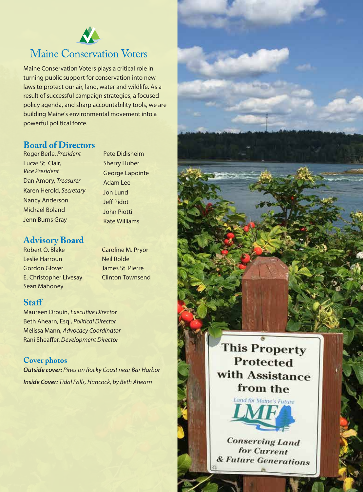

## **Maine Conservation Voters**

Maine Conservation Voters plays a critical role in turning public support for conservation into new laws to protect our air, land, water and wildlife. As a result of successful campaign strategies, a focused policy agenda, and sharp accountability tools, we are building Maine's environmental movement into a powerful political force.

#### **Board of Directors**

Roger Berle, *President* Lucas St. Clair, *Vice President* Dan Amory, *Treasurer* Karen Herold, *Secretary* Nancy Anderson Michael Boland Jenn Burns Gray

#### **Advisory Board**

Robert O. Blake Leslie Harroun Gordon Glover E. Christopher Livesay Sean Mahoney

Caroline M. Pryor Neil Rolde James St. Pierre Clinton Townsend

Pete Didisheim Sherry Huber George Lapointe Adam Lee Jon Lund Jeff Pidot John Piotti Kate Williams

#### **Staff**

Maureen Drouin, *Executive Director* Beth Ahearn, Esq., *Political Director* Melissa Mann, *Advocacy Coordinator* Rani Sheaffer, *Development Director*

#### **Cover photos**

*Outside cover: Pines on Rocky Coast near Bar Harbor Inside Cover: Tidal Falls, Hancock, by Beth Ahearn*

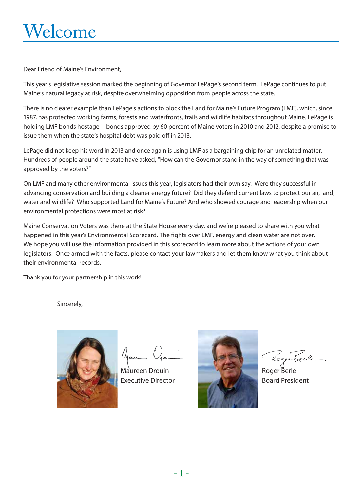# Welcome

Dear Friend of Maine's Environment,

This year's legislative session marked the beginning of Governor LePage's second term. LePage continues to put Maine's natural legacy at risk, despite overwhelming opposition from people across the state.

There is no clearer example than LePage's actions to block the Land for Maine's Future Program (LMF), which, since 1987, has protected working farms, forests and waterfronts, trails and wildlife habitats throughout Maine. LePage is holding LMF bonds hostage—bonds approved by 60 percent of Maine voters in 2010 and 2012, despite a promise to issue them when the state's hospital debt was paid off in 2013.

LePage did not keep his word in 2013 and once again is using LMF as a bargaining chip for an unrelated matter. Hundreds of people around the state have asked, "How can the Governor stand in the way of something that was approved by the voters?"

On LMF and many other environmental issues this year, legislators had their own say. Were they successful in advancing conservation and building a cleaner energy future? Did they defend current laws to protect our air, land, water and wildlife? Who supported Land for Maine's Future? And who showed courage and leadership when our environmental protections were most at risk?

Maine Conservation Voters was there at the State House every day, and we're pleased to share with you what happened in this year's Environmental Scorecard. The fights over LMF, energy and clean water are not over. We hope you will use the information provided in this scorecard to learn more about the actions of your own legislators. Once armed with the facts, please contact your lawmakers and let them know what you think about their environmental records.

Thank you for your partnership in this work!

Sincerely,



Maure

Maureen Drouin Executive Director



Roger Berle Board President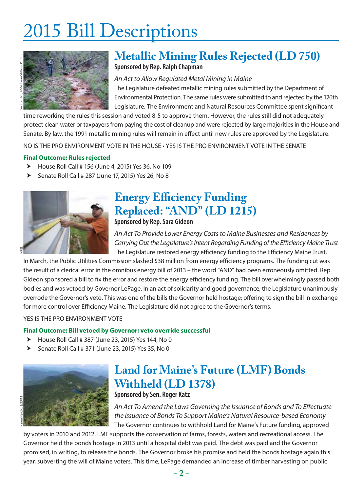# 2015 Bill Descriptions



#### **Metallic Mining Rules Rejected (LD 750) Sponsored by Rep. Ralph Chapman**

*An Act to Allow Regulated Metal Mining in Maine* The Legislature defeated metallic mining rules submitted by the Department of Environmental Protection. The same rules were submitted to and rejected by the 126th Legislature. The Environment and Natural Resources Committee spent significant

time reworking the rules this session and voted 8-5 to approve them. However, the rules still did not adequately protect clean water or taxpayers from paying the cost of cleanup and were rejected by large majorities in the House and Senate. By law, the 1991 metallic mining rules will remain in effect until new rules are approved by the Legislature.

NO IS THE PRO ENVIRONMENT VOTE IN THE HOUSE • YES IS THE PRO ENVIRONMENT VOTE IN THE SENATE

#### **Final Outcome: Rules rejected**

- $\blacktriangleright$  House Roll Call # 156 (June 4, 2015) Yes 36, No 109
- $\blacktriangleright$  Senate Roll Call # 287 (June 17, 2015) Yes 26, No 8



### **Energy Efficiency Funding Replaced: "AND" (LD 1215) Sponsored by Rep. Sara Gideon**

*An Act To Provide Lower Energy Costs to Maine Businesses and Residences by Carrying Out the Legislature's Intent Regarding Funding of the Efficiency Maine Trust* The Legislature restored energy efficiency funding to the Efficiency Maine Trust.

In March, the Public Utilities Commission slashed \$38 million from energy efficiency programs. The funding cut was the result of a clerical error in the omnibus energy bill of 2013 – the word "AND" had been erroneously omitted. Rep. Gideon sponsored a bill to fix the error and restore the energy efficiency funding. The bill overwhelmingly passed both bodies and was vetoed by Governor LePage. In an act of solidarity and good governance, the Legislature unanimously overrode the Governor's veto. This was one of the bills the Governor held hostage; offering to sign the bill in exchange for more control over Efficiency Maine. The Legislature did not agree to the Governor's terms.

YES IS THE PRO ENVIRONMENT VOTE

#### **Final Outcome: Bill vetoed by Governor; veto override successful**

- $\blacktriangleright$  House Roll Call # 387 (June 23, 2015) Yes 144, No 0
- $\triangleright$  Senate Roll Call # 371 (June 23, 2015) Yes 35, No 0



### **Land for Maine's Future (LMF) Bonds Withheld (LD 1378) Sponsored by Sen. Roger Katz**

#### *An Act To Amend the Laws Governing the Issuance of Bonds and To Effectuate the Issuance of Bonds To Support Maine's Natural Resource-based Economy*

The Governor continues to withhold Land for Maine's Future funding, approved

by voters in 2010 and 2012. LMF supports the conservation of farms, forests, waters and recreational access. The Governor held the bonds hostage in 2013 until a hospital debt was paid. The debt was paid and the Governor promised, in writing, to release the bonds. The Governor broke his promise and held the bonds hostage again this year, subverting the will of Maine voters. This time, LePage demanded an increase of timber harvesting on public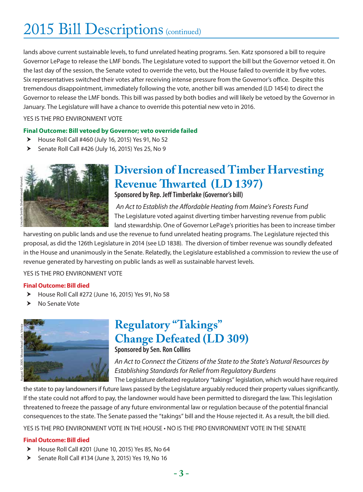## 2015 Bill Descriptions (continued)

lands above current sustainable levels, to fund unrelated heating programs. Sen. Katz sponsored a bill to require Governor LePage to release the LMF bonds. The Legislature voted to support the bill but the Governor vetoed it. On the last day of the session, the Senate voted to override the veto, but the House failed to override it by five votes. Six representatives switched their votes after receiving intense pressure from the Governor's office. Despite this tremendous disappointment, immediately following the vote, another bill was amended (LD 1454) to direct the Governor to release the LMF bonds. This bill was passed by both bodies and will likely be vetoed by the Governor in January. The Legislature will have a chance to override this potential new veto in 2016.

#### YES IS THE PRO ENVIRONMENT VOTE

#### **Final Outcome: Bill vetoed by Governor; veto override failed**

- $\blacktriangleright$  House Roll Call #460 (July 16, 2015) Yes 91, No 52
- $\blacktriangleright$  Senate Roll Call #426 (July 16, 2015) Yes 25, No 9



## **Diversion of Increased Timber Harvesting Revenue Thwarted (LD 1397)**

**Sponsored by Rep. Jeff Timberlake (Governor's bill)**

*An Act to Establish the Affordable Heating from Maine's Forests Fund* The Legislature voted against diverting timber harvesting revenue from public land stewardship. One of Governor LePage's priorities has been to increase timber

harvesting on public lands and use the revenue to fund unrelated heating programs. The Legislature rejected this proposal, as did the 126th Legislature in 2014 (see LD 1838). The diversion of timber revenue was soundly defeated in the House and unanimously in the Senate. Relatedly, the Legislature established a commission to review the use of revenue generated by harvesting on public lands as well as sustainable harvest levels.

YES IS THE PRO ENVIRONMENT VOTE

#### **Final Outcome: Bill died**

- $\blacktriangleright$  House Roll Call #272 (June 16, 2015) Yes 91, No 58
- $\blacktriangleright$  No Senate Vote



### **Regulatory "Takings" Change Defeated (LD 309) Sponsored by Sen. Ron Collins**

*An Act to Connect the Citizens of the State to the State's Natural Resources by Establishing Standards for Relief from Regulatory Burdens*

The Legislature defeated regulatory "takings" legislation, which would have required the state to pay landowners if future laws passed by the Legislature arguably reduced their property values significantly. If the state could not afford to pay, the landowner would have been permitted to disregard the law. This legislation threatened to freeze the passage of any future environmental law or regulation because of the potential financial consequences to the state. The Senate passed the "takings" bill and the House rejected it. As a result, the bill died.

YES IS THE PRO ENVIRONMENT VOTE IN THE HOUSE • NO IS THE PRO ENVIRONMENT VOTE IN THE SENATE

#### **Final Outcome: Bill died**

- $\blacktriangleright$  House Roll Call #201 (June 10, 2015) Yes 85, No 64
- $\blacktriangleright$  Senate Roll Call #134 (June 3, 2015) Yes 19, No 16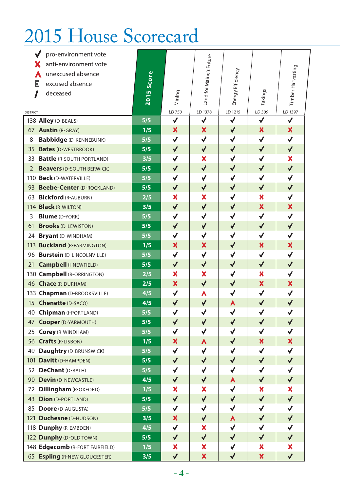# 2015 House Scorecard

|                 | pro-environment vote               |       |                 |                         |                      |                           |                   |
|-----------------|------------------------------------|-------|-----------------|-------------------------|----------------------|---------------------------|-------------------|
|                 | anti-environment vote              |       |                 |                         |                      |                           |                   |
|                 | unexcused absence                  |       |                 |                         |                      |                           |                   |
|                 | excused absence<br>Е               | Score |                 |                         |                      |                           |                   |
|                 | deceased<br>ı                      | 2015  | Mining          | Land for Maine's Future | Energy Efficiency    | Takings                   | Timber Harvesting |
|                 |                                    |       |                 |                         |                      |                           |                   |
| <b>DISTRICT</b> |                                    |       | LD 750          | LD 1378                 | LD 1215              | LD 309                    | LD 1397           |
|                 | 138 Alley (D-BEALS)                | 5/5   | $\checkmark$    | √                       | $\checkmark$         | ✔                         | $\checkmark$      |
|                 | 67 <b>Austin</b> (R-GRAY)          | 1/5   | X               | ×                       | $\checkmark$         | X                         | X                 |
| 8               | <b>Babbidge (D-KENNEBUNK)</b>      | 5/5   | $\checkmark$    | $\checkmark$            | $\checkmark$         | $\checkmark$              | $\checkmark$      |
| 35              | <b>Bates (D-WESTBROOK)</b>         | 5/5   | $\checkmark$    | $\checkmark$            | $\checkmark$         | $\blacklozenge$           | $\blacklozenge$   |
| 33              | <b>Battle (R-SOUTH PORTLAND)</b>   | 3/5   | $\checkmark$    | ×                       | $\checkmark$         | $\checkmark$              | X                 |
| 2               | <b>Beavers (D-SOUTH BERWICK)</b>   | 5/5   | $\checkmark$    | $\blacklozenge$         | $\blacklozenge$      | $\checkmark$              | $\checkmark$      |
|                 | 110 Beck (D-WATERVILLE)            | 5/5   | $\checkmark$    | $\checkmark$            | $\checkmark$         | $\checkmark$              | $\checkmark$      |
| 93              | <b>Beebe-Center (D-ROCKLAND)</b>   | 5/5   | $\checkmark$    | $\checkmark$            | $\checkmark$         | $\checkmark$              | $\blacklozenge$   |
|                 | 63 Bickford (R-AUBURN)             | 2/5   | X               | X                       | $\checkmark$         | X                         | $\checkmark$      |
|                 | 114 <b>Black</b> (R-WILTON)        | 3/5   | $\checkmark$    | $\blacklozenge$         | $\checkmark$         | $\boldsymbol{\mathsf{x}}$ | X                 |
| 3               | <b>Blume</b> (D-YORK)              | 5/5   | $\checkmark$    | $\checkmark$            | $\checkmark$         | $\checkmark$              | $\checkmark$      |
| 61              | <b>Brooks (D-LEWISTON)</b>         | 5/5   | $\blacklozenge$ | $\checkmark$            | $\blacklozenge$      | $\blacklozenge$           | $\blacklozenge$   |
|                 | 24 Bryant (D-WINDHAM)              | 5/5   | √               | √                       | $\checkmark$         | $\checkmark$              | $\checkmark$      |
|                 | 113 <b>Buckland</b> (R-FARMINGTON) | 1/5   | X               | ×                       | $\blacklozenge$      | X                         | ×                 |
|                 | 96 Burstein (D-LINCOLNVILLE)       | 5/5   | $\checkmark$    | $\checkmark$            | $\checkmark$         | $\checkmark$              | $\checkmark$      |
|                 | 21 Campbell (I-NEWFIELD)           | 5/5   | $\blacklozenge$ | $\checkmark$            | $\checkmark$         | $\checkmark$              | $\blacklozenge$   |
|                 | 130 Campbell (R-ORRINGTON)         | 2/5   | X               | X                       | $\checkmark$         | X                         | ✔                 |
|                 | 46 Chace (R-DURHAM)                | 2/5   | X               | $\checkmark$            | $\checkmark$         | X                         | ×                 |
|                 | 133 Chapman (D-BROOKSVILLE)        | 4/5   | $\checkmark$    | A                       | $\checkmark$         | $\checkmark$              | $\checkmark$      |
| 15              | <b>Chenette (D-SACO)</b>           | 4/5   | $\blacklozenge$ | $\checkmark$            | A                    | $\checkmark$              | $\blacklozenge$   |
|                 | 40 Chipman (I-PORTLAND)            | 5/5   | $\checkmark$    | √                       | $\checkmark$         | ✔                         | $\checkmark$      |
|                 | 47 Cooper (D-YARMOUTH)             | 5/5   | $\checkmark$    | $\checkmark$            | $\checkmark$         | $\blacklozenge$           | $\blacklozenge$   |
|                 | 25 Corey (R-WINDHAM)               | 5/5   | ✔               |                         | $\blacklozenge$      | √                         | √                 |
|                 | 56 Crafts (R-LISBON)               | 1/5   | ×               | $\blacktriangle$        | $\sqrt{ }$           | ×                         | ×                 |
| 49              | Daughtry (D-BRUNSWICK)             | 5/5   | ✔               | ✔                       | ✔                    | √                         | ✔                 |
| 101             | Davitt (D-HAMPDEN)                 | 5/5   | $\checkmark$    | $\checkmark$            | $\blacklozenge$      | $\checkmark$              | ✔                 |
| 52              | DeChant (D-BATH)                   | 5/5   | $\checkmark$    | ✔                       | $\checkmark$         | ✔                         | $\checkmark$      |
| 90              | <b>Devin (D-NEWCASTLE)</b>         | 4/5   | $\checkmark$    | ✔                       | A                    | $\checkmark$              | $\blacklozenge$   |
| 72              | <b>Dillingham (R-OXFORD)</b>       | 1/5   | X               | X                       | $\checkmark$         | ×                         | X                 |
| 43              | <b>Dion</b> (D-PORTLAND)           | 5/5   | $\checkmark$    | $\blacklozenge$         | $\blacklozenge$      | $\checkmark$              | $\blacklozenge$   |
| 85              | <b>Doore</b> (D-AUGUSTA)           | 5/5   | $\checkmark$    | $\checkmark$            | $\checkmark$         | $\checkmark$              | ✔                 |
| 121             | <b>Duchesne</b> (D-HUDSON)         | 3/5   | X               | $\checkmark$            | A                    | $\blacklozenge$           | ✔                 |
|                 | 118 Dunphy (R-EMBDEN)              | 4/5   | $\checkmark$    | ×                       | $\checkmark$         | $\checkmark$              | √                 |
|                 | 122 Dunphy (D-OLD TOWN)            | 5/5   | $\checkmark$    | $\checkmark$            | $\blacklozenge$      | $\blacklozenge$           | $\blacklozenge$   |
|                 | 148 Edgecomb (R-FORT FAIRFIELD)    | 1/5   | X               | ×                       | $\checkmark$         | X                         | X                 |
| 65              | <b>Espling (R-NEW GLOUCESTER)</b>  | 3/5   | $\blacklozenge$ | X                       | $\blacktriangledown$ | ×                         | $\blacklozenge$   |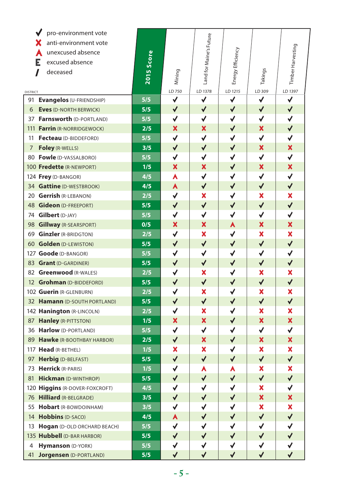|                 | pro-environment vote             |            |                           |                           |                   |                           |                   |
|-----------------|----------------------------------|------------|---------------------------|---------------------------|-------------------|---------------------------|-------------------|
|                 | anti-environment vote<br>Х       |            |                           |                           |                   |                           |                   |
|                 | unexcused absence                |            |                           |                           |                   |                           |                   |
|                 | Е<br>excused absence             |            |                           |                           |                   |                           |                   |
|                 | deceased                         | 2015 Score | Mining                    | Land for Maine's Future   | Energy Efficiency | Takings                   | Timber Harvesting |
|                 |                                  |            |                           |                           |                   |                           |                   |
| <b>DISTRICT</b> |                                  |            | LD 750                    | LD 1378                   | LD 1215           | LD 309                    | LD 1397           |
| 91              | Evangelos (U-FRIENDSHIP)         | 5/5        | $\checkmark$              | $\checkmark$              | $\checkmark$      | $\checkmark$              | $\checkmark$      |
| 6               | <b>Eves (D-NORTH BERWICK)</b>    | 5/5        | $\checkmark$              | $\checkmark$              | $\checkmark$      | $\checkmark$              | $\blacklozenge$   |
|                 | 37 Farnsworth (D-PORTLAND)       | 5/5        | ✔                         | ✔                         | ✔                 | ✔                         | $\checkmark$      |
| 111             | Farrin (R-NORRIDGEWOCK)          | 2/5        | X                         | ×                         | $\checkmark$      | ×                         | $\blacklozenge$   |
| 11              | Fecteau (D-BIDDEFORD)            | 5/5        | √                         | √                         | $\checkmark$      | ✔                         | √                 |
| 7               | Foley (R-WELLS)                  | 3/5        | $\checkmark$              | $\checkmark$              | $\checkmark$      | X                         | ×                 |
|                 | 80 Fowle (D-VASSALBORO)          | 5/5        | $\checkmark$              | √                         | $\checkmark$      | $\checkmark$              | $\checkmark$      |
|                 | 100 Fredette (R-NEWPORT)         | 1/5        | X                         | ×                         | $\checkmark$      | ×                         | ×                 |
|                 | 124 Frey (D-BANGOR)              | 4/5        | A                         | $\checkmark$              | $\checkmark$      | $\checkmark$              | $\checkmark$      |
|                 | 34 Gattine (D-WESTBROOK)         | 4/5        | A                         | $\checkmark$              | $\checkmark$      | $\checkmark$              | $\checkmark$      |
|                 | 20 Gerrish (R-LEBANON)           | 2/5        | $\checkmark$              | ×                         | $\checkmark$      | X                         | X                 |
|                 | 48 Gideon (D-FREEPORT)           | 5/5        | $\blacklozenge$           | $\checkmark$              | $\checkmark$      | $\checkmark$              | $\blacklozenge$   |
|                 | 74 Gilbert (D-JAY)               | 5/5        | $\checkmark$              | $\checkmark$              | $\checkmark$      | $\checkmark$              | $\checkmark$      |
| 98              | <b>Gillway</b> (R-SEARSPORT)     | 0/5        | $\boldsymbol{\mathsf{x}}$ | $\boldsymbol{\mathsf{x}}$ | A                 | ×                         | ×                 |
|                 | 69 Ginzler (R-BRIDGTON)          | 2/5        | $\checkmark$              | X                         | $\checkmark$      | X                         | ×                 |
|                 | 60 Golden (D-LEWISTON)           | 5/5        | $\blacklozenge$           | $\blacklozenge$           | $\blacklozenge$   | $\blacklozenge$           | $\blacklozenge$   |
|                 | 127 Goode (D-BANGOR)             | 5/5        | √                         | $\checkmark$              | $\checkmark$      | $\checkmark$              | √                 |
|                 | 83 Grant (D-GARDINER)            | 5/5        | $\checkmark$              | $\checkmark$              | $\checkmark$      | $\checkmark$              | $\checkmark$      |
|                 | 82 Greenwood (R-WALES)           | 2/5        | $\checkmark$              | ×                         | $\checkmark$      | X                         | ×                 |
|                 | 12 Grohman (D-BIDDEFORD)         | 5/5        | $\blacklozenge$           | $\checkmark$              | $\blacklozenge$   | $\checkmark$              | $\blacklozenge$   |
|                 | 102 Guerin (R-GLENBURN)          | 2/5        | $\checkmark$              | X                         | $\checkmark$      | ×                         | X                 |
|                 | 32 Hamann (D-SOUTH PORTLAND)     | 5/5        | $\blacklozenge$           | $\checkmark$              | $\blacklozenge$   | $\blacklozenge$           | $\checkmark$      |
|                 | 142 Hanington (R-LINCOLN)        | 2/5        | ✔                         | X                         | √                 | X                         | X                 |
|                 | 87 Hanley (R-PITTSTON)           | 1/5        | $\boldsymbol{\mathsf{x}}$ | $\boldsymbol{\mathsf{x}}$ | $\sqrt{2}$        | $\boldsymbol{\mathsf{x}}$ | ×                 |
|                 | 36 Harlow (D-PORTLAND)           | 5/5        | √                         | ✔                         | ✔                 | ✔                         | ✓                 |
| 89              | <b>Hawke (R-BOOTHBAY HARBOR)</b> | 2/5        | $\checkmark$              | $\boldsymbol{\mathsf{x}}$ | $\checkmark$      | $\boldsymbol{\mathsf{x}}$ | X                 |
|                 | 117 Head (R-BETHEL)              | 1/5        | ×                         | ×                         | √                 | ×                         | X                 |
| 97              | <b>Herbig (D-BELFAST)</b>        | 5/5        | $\checkmark$              | $\checkmark$              | $\checkmark$      | $\checkmark$              | $\checkmark$      |
| 73              | <b>Herrick (R-PARIS)</b>         | 1/5        | ✔                         | A                         | A                 | ×                         | X                 |
| 81              | <b>Hickman</b> (D-WINTHROP)      | 5/5        | $\checkmark$              | $\checkmark$              | $\checkmark$      | $\checkmark$              | ✔                 |
|                 | 120 Higgins (R-DOVER-FOXCROFT)   | 4/5        | ✔                         | $\checkmark$              | $\checkmark$      | ×                         | √                 |
| 76              | <b>Hilliard (R-BELGRADE)</b>     | 3/5        | $\blacklozenge$           | $\checkmark$              | $\checkmark$      | ×                         | X                 |
| 55              | Hobart (R-BOWDOINHAM)            | 3/5        | √                         | √                         | $\checkmark$      | ×                         | X                 |
| 14              | <b>Hobbins (D-SACO)</b>          | 4/5        | A                         | $\checkmark$              | $\blacklozenge$   | $\blacklozenge$           | ✔                 |
| 13              | Hogan (D-OLD ORCHARD BEACH)      | 5/5        | ✔                         | √                         | $\checkmark$      | $\checkmark$              | √                 |
|                 | 135 Hubbell (D-BAR HARBOR)       | 5/5        | $\blacklozenge$           | ✔                         | $\checkmark$      | $\blacklozenge$           | ✔                 |
| 4               | Hymanson (D-YORK)                | 5/5        | √                         | $\checkmark$              | $\checkmark$      |                           | $\checkmark$      |
| 41              | <b>Jorgensen</b> (D-PORTLAND)    | 5/5        | ✔                         | ✔                         | ✔                 | $\blacklozenge$           | $\checkmark$      |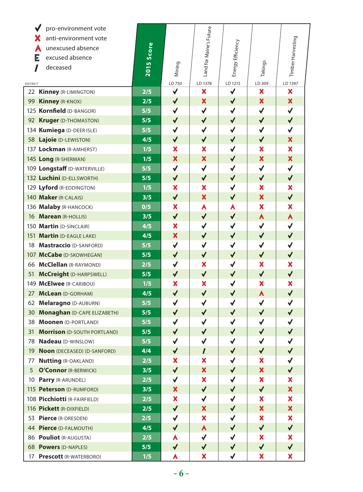| pro-environment vote                     |            |                           |                           |                   |                           |                           |
|------------------------------------------|------------|---------------------------|---------------------------|-------------------|---------------------------|---------------------------|
| anti-environment vote                    |            |                           |                           |                   |                           |                           |
| unexcused absence                        |            |                           |                           |                   |                           |                           |
| Е<br>excused absence                     |            |                           |                           |                   |                           |                           |
| deceased<br>1                            | 2015 Score | Mining                    | Land for Maine's Future   | Energy Efficiency | Takings                   | Timber Harvesting         |
| <b>DISTRICT</b>                          |            | LD 750                    | LD 1378                   | LD 1215           | LD 309                    | LD 1397                   |
| 22 Kinney (R-LIMINGTON)                  | 2/5        | $\checkmark$              | X                         | $\checkmark$      | $\boldsymbol{\mathsf{x}}$ | X                         |
| 99 Kinney (R-KNOX)                       | 2/5        | $\checkmark$              | ×                         | $\checkmark$      | ×                         | ×                         |
| 125 Kornfield (D-BANGOR)                 | 5/5        | $\checkmark$              | $\checkmark$              | $\checkmark$      | $\checkmark$              | $\checkmark$              |
| 92 Kruger (D-THOMASTON)                  | 5/5        | $\checkmark$              | $\checkmark$              | $\checkmark$      | $\checkmark$              | $\blacklozenge$           |
| 134 Kumiega (D-DEER ISLE)                | 5/5        | $\checkmark$              | $\checkmark$              | $\checkmark$      | $\checkmark$              | $\checkmark$              |
| 58 Lajoie (D-LEWISTON)                   | 4/5        | $\checkmark$              | $\checkmark$              | $\checkmark$      | $\checkmark$              | X                         |
| 137 Lockman (R-AMHERST)                  | 1/5        | $\overline{\mathbf{x}}$   | X                         | $\checkmark$      | $\boldsymbol{\mathsf{x}}$ | ×                         |
| 145 Long (R-SHERMAN)                     | 1/5        | $\boldsymbol{\mathsf{x}}$ | $\boldsymbol{\mathsf{x}}$ | $\checkmark$      | $\boldsymbol{\mathsf{x}}$ | $\boldsymbol{\mathsf{X}}$ |
| 109 Longstaff (D-WATERVILLE)             | 5/5        | $\checkmark$              | $\checkmark$              | $\checkmark$      | $\checkmark$              | $\checkmark$              |
| 132 Luchini (D-ELLSWORTH)                | 5/5        | $\checkmark$              | $\checkmark$              | $\checkmark$      | $\checkmark$              | $\checkmark$              |
| 129 Lyford (R-EDDINGTON)                 | 1/5        | X                         | ×                         | $\checkmark$      | ×                         | ×                         |
| 140 Maker (R-CALAIS)                     | 3/5        | $\checkmark$              | X                         | $\checkmark$      | $\boldsymbol{\mathsf{x}}$ | $\checkmark$              |
| 136 Malaby (R-HANCOCK)                   | 0/5        | $\boldsymbol{\mathsf{x}}$ | A                         | A                 | ×                         | ×                         |
| 16 Marean (R-HOLLIS)                     | 3/5        | $\checkmark$              | $\checkmark$              | $\checkmark$      | A                         | A                         |
| 150 Martin (D-SINCLAIR)                  | 4/5        | $\boldsymbol{\mathsf{x}}$ | $\checkmark$              | $\checkmark$      | $\checkmark$              | $\checkmark$              |
| 151 Martin (D-EAGLE LAKE)                | 4/5        | ×                         | $\checkmark$              | $\checkmark$      | $\checkmark$              | $\blacklozenge$           |
| 18 Mastraccio (D-SANFORD)                | 5/5        | $\checkmark$              | $\checkmark$              | $\checkmark$      | $\checkmark$              | $\checkmark$              |
| 107 McCabe (D-SKOWHEGAN)                 | 5/5        | $\blacklozenge$           | $\checkmark$              | $\checkmark$      | $\checkmark$              | $\blacklozenge$           |
| 66 McClellan (R-RAYMOND)                 | 2/5        | $\checkmark$              | X                         | $\checkmark$      | $\boldsymbol{\mathsf{x}}$ | X                         |
| 51 McCreight (D-HARPSWELL)               | 5/5        | $\checkmark$              | $\checkmark$              | $\checkmark$      | $\checkmark$              | $\checkmark$              |
| 149 McElwee (R-CARIBOU)                  | 1/5        | X                         | X                         | $\checkmark$      | X                         | X                         |
| 27 McLean (D-GORHAM)                     | 4/5        | $\blacklozenge$           | $\checkmark$              | $\checkmark$      | A                         | $\blacklozenge$           |
| 62 Melaragno (D-AUBURN)                  | 5/5        | $\checkmark$              | $\checkmark$              | $\checkmark$      | $\checkmark$              | $\checkmark$              |
| 30 Monaghan (D-CAPE ELIZABETH)           | 5/5        | $\checkmark$              | $\checkmark$              | $\checkmark$      | $\checkmark$              | $\checkmark$              |
| 38 Moonen (D-PORTLAND)                   | 5/5        | $\checkmark$              | $\checkmark$              | ✔                 | $\checkmark$              | $\checkmark$              |
| <b>Morrison (D-SOUTH PORTLAND)</b><br>31 | 5/5        | $\checkmark$              | ✔                         | $\checkmark$      | $\blacklozenge$           | $\blacklozenge$           |
| Nadeau (D-WINSLOW)<br>78                 | 5/5        | $\checkmark$              | ✔                         | $\checkmark$      | $\checkmark$              | √                         |
| 19<br><b>Noon</b> (DECEASED) (D-SANFORD) | 4/4        | $\blacklozenge$           | $\prime$                  | $\blacklozenge$   | $\blacktriangledown$      | ✔                         |
| <b>Nutting (R-OAKLAND)</b><br>77         | 2/5        | ×                         | X                         | ✔                 | ×                         | $\checkmark$              |
| 5<br>O'Connor (R-BERWICK)                | 3/5        | $\blacklozenge$           | $\boldsymbol{\mathsf{x}}$ | $\blacklozenge$   | $\boldsymbol{\mathsf{x}}$ | $\blacklozenge$           |
| Parry (R-ARUNDEL)<br>10                  | 2/5        | $\checkmark$              | ×                         | $\checkmark$      | ×                         | ×                         |
| 115 Peterson (D-RUMFORD)                 | 3/5        | $\boldsymbol{\mathsf{x}}$ | $\checkmark$              | $\checkmark$      | $\blacklozenge$           | ×                         |
| 108 Picchiotti (R-FAIRFIELD)             | 2/5        | X                         | $\checkmark$              | $\checkmark$      | ×                         | ×                         |
| 116 Pickett (R-DIXFIELD)                 | 2/5        | $\blacklozenge$           | X                         | $\checkmark$      | $\boldsymbol{\mathsf{x}}$ | ×                         |
| 53 Pierce (R-DRESDEN)                    | 2/5        | $\checkmark$              | ×                         | $\checkmark$      | ×                         | ×                         |
| 44 Pierce (D-FALMOUTH)                   | 4/5        | $\checkmark$              | A                         | $\checkmark$      | $\checkmark$              | $\checkmark$              |
| 86 Pouliot (R-AUGUSTA)                   | 2/5        | Α                         | $\checkmark$              | √                 | ×                         | ×                         |
| 68 Powers (D-NAPLES)                     | 5/5        | $\checkmark$              | $\blacklozenge$           | $\checkmark$      | $\blacklozenge$           | ✔                         |
| 17<br><b>Prescott (R-WATERBORO)</b>      | 1/5        | Α                         | ×                         | ✔                 | ×                         | X                         |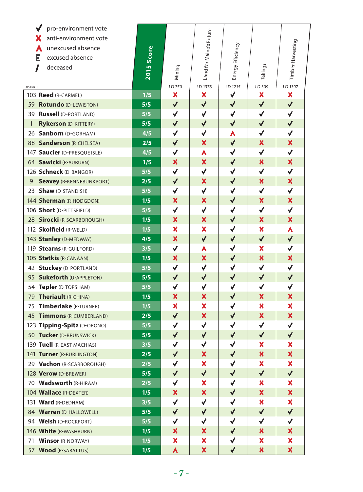| pro-environment vote<br>anti-environment vote |            |                           | Land for Maine's Future   |                   |                           |                           |
|-----------------------------------------------|------------|---------------------------|---------------------------|-------------------|---------------------------|---------------------------|
| unexcused absence                             |            |                           |                           |                   |                           |                           |
| Е<br>excused absence                          |            |                           |                           |                   |                           |                           |
| deceased                                      |            |                           |                           |                   |                           |                           |
|                                               | 2015 Score | Mining                    |                           | Energy Efficiency | Takings                   | Timber Harvesting         |
| <b>DISTRICT</b>                               |            | LD 750                    | LD 1378                   | LD 1215           | LD 309                    | LD 1397                   |
| 103 Reed (R-CARMEL)                           | 1/5        | ×                         | ×                         | $\checkmark$      | $\boldsymbol{\mathsf{x}}$ | ×                         |
| 59 Rotundo (D-LEWISTON)                       | 5/5        | $\checkmark$              | $\checkmark$              | $\checkmark$      | $\checkmark$              | $\checkmark$              |
| 39 Russell (D-PORTLAND)                       | 5/5        | $\checkmark$              | $\checkmark$              | $\checkmark$      | $\checkmark$              | √                         |
| <b>Rykerson (D-KITTERY)</b><br>1              | 5/5        | $\checkmark$              | $\checkmark$              | $\checkmark$      | $\checkmark$              | $\blacklozenge$           |
| 26 Sanborn (D-GORHAM)                         | 4/5        | $\checkmark$              | $\checkmark$              | A                 | ✔                         | √                         |
| 88 Sanderson (R-CHELSEA)                      | 2/5        | $\checkmark$              | X                         | $\checkmark$      | $\boldsymbol{\mathsf{x}}$ | X                         |
| 147 Saucier (D-PRESQUE ISLE)                  | 4/5        | $\checkmark$              | A                         | ✓                 | $\checkmark$              | √                         |
| 64 Sawicki (R-AUBURN)                         | 1/5        | ×                         | X                         | $\checkmark$      | $\boldsymbol{\mathsf{x}}$ | X                         |
| 126 Schneck (D-BANGOR)                        | 5/5        | $\checkmark$              | $\checkmark$              | $\checkmark$      | $\checkmark$              | √                         |
| <b>Seavey (R-KENNEBUNKPORT)</b><br>9          | 2/5        | $\checkmark$              | X                         | $\checkmark$      | $\boldsymbol{\mathsf{x}}$ | X                         |
| 23 Shaw (D-STANDISH)                          | 5/5        | $\checkmark$              | $\checkmark$              | $\checkmark$      | $\checkmark$              | $\checkmark$              |
| 144 Sherman (R-HODGDON)                       | 1/5        | X                         | X                         | $\checkmark$      | $\boldsymbol{\mathsf{x}}$ | X                         |
| 106 Short (D-PITTSFIELD)                      | 5/5        | $\checkmark$              | $\checkmark$              | $\checkmark$      | $\checkmark$              | $\checkmark$              |
| 28 Sirocki (R-SCARBOROUGH)                    | 1/5        | $\boldsymbol{\mathsf{x}}$ | $\boldsymbol{\mathsf{X}}$ | $\checkmark$      | $\boldsymbol{\mathsf{x}}$ | $\boldsymbol{\mathsf{x}}$ |
| 112 Skolfield (R-WELD)                        | 1/5        | ×                         | X                         | $\checkmark$      | X                         | À                         |
| 143 Stanley (D-MEDWAY)                        | 4/5        | $\boldsymbol{\mathsf{x}}$ | $\checkmark$              | $\checkmark$      | $\checkmark$              | $\blacklozenge$           |
| 119 Stearns (R-GUILFORD)                      | 3/5        | $\checkmark$              | A                         | $\checkmark$      | ×                         | $\checkmark$              |
| 105 Stetkis (R-CANAAN)                        | 1/5        | X                         | $\boldsymbol{\mathsf{x}}$ | $\checkmark$      | $\boldsymbol{\mathsf{x}}$ | X                         |
| 42 Stuckey (D-PORTLAND)                       | 5/5        | $\checkmark$              | $\checkmark$              | $\checkmark$      | $\checkmark$              | ✔                         |
| 95 Sukeforth (U-APPLETON)                     | 5/5        | $\checkmark$              | $\blacklozenge$           | $\checkmark$      | $\checkmark$              | $\blacklozenge$           |
| 54 Tepler (D-TOPSHAM)                         | 5/5        | $\checkmark$              | $\checkmark$              | $\checkmark$      | $\checkmark$              | √                         |
| 79 Theriault (R-CHINA)                        | 1/5        | X                         | ×                         | $\checkmark$      | $\boldsymbol{\mathsf{x}}$ | X                         |
| 75 Timberlake (R-TURNER)                      | 1/5        | ×                         | ×                         |                   | X                         | ×                         |
| 45 Timmons (R-CUMBERLAND)                     | 2/5        | $\checkmark$              | $\boldsymbol{\mathsf{x}}$ | $\checkmark$      | $\pmb{\mathsf{x}}$        | ×                         |
| 123 Tipping-Spitz (D-ORONO)                   | 5/5        | $\checkmark$              | √                         | ✔                 | $\checkmark$              | √                         |
| 50 Tucker (D-BRUNSWICK)                       | 5/5        | $\checkmark$              | $\blacklozenge$           | $\checkmark$      | $\blacklozenge$           | $\checkmark$              |
| 139 Tuell (R-EAST MACHIAS)                    | 3/5        | $\checkmark$              | $\checkmark$              | $\checkmark$      | ×                         | ×                         |
| 141 Turner (R-BURLINGTON)                     | 2/5        | $\checkmark$              | $\boldsymbol{\mathsf{x}}$ | $\checkmark$      | $\boldsymbol{\mathsf{x}}$ | $\boldsymbol{\mathsf{x}}$ |
| 29 Vachon (R-SCARBOROUGH)                     | 2/5        | $\checkmark$              | ×                         | $\checkmark$      | ×                         | ×                         |
| 128 Verow (D-BREWER)                          | 5/5        | $\blacklozenge$           | $\checkmark$              | $\checkmark$      | $\checkmark$              | $\checkmark$              |
| 70 Wadsworth (R-HIRAM)                        | 2/5        | $\checkmark$              | ×                         | ✔                 | X                         | ×                         |
| 104 <b>Wallace</b> (R-DEXTER)                 | 1/5        | ×                         | X                         | $\checkmark$      | $\boldsymbol{\mathsf{x}}$ | ×                         |
| 131 Ward (R-DEDHAM)                           | 3/5        | ✔                         | ✔                         | $\checkmark$      | $\boldsymbol{\mathsf{x}}$ | ×                         |
| 84 Warren (D-HALLOWELL)                       | 5/5        | $\checkmark$              | $\checkmark$              | $\checkmark$      | $\blacktriangledown$      | $\blacklozenge$           |
| 94 Welsh (D-ROCKPORT)                         | 5/5        | $\checkmark$              | √                         | $\checkmark$      | $\checkmark$              | √                         |
| 146 White (R-WASHBURN)                        | 1/5        | ×                         | X                         | $\checkmark$      | $\bm{x}$                  | ×                         |
| <b>Winsor (R-NORWAY)</b><br>71                | 1/5        | X                         | ×                         | $\checkmark$      | ×                         | ×                         |
| <b>Wood (R-SABATTUS)</b><br>57                | 1/5        | A                         | $\boldsymbol{\mathsf{x}}$ | $\checkmark$      | $\boldsymbol{\mathsf{x}}$ | ×                         |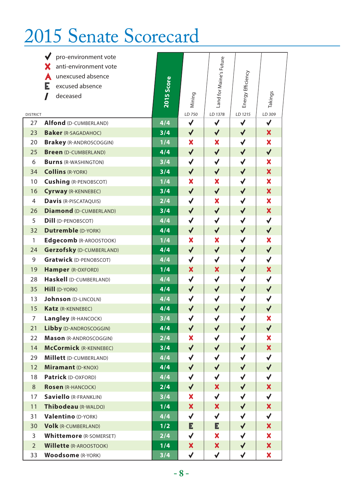# 2015 Senate Scorecard

|                 | pro-environment vote            |            |                           |                           |                   |                           |
|-----------------|---------------------------------|------------|---------------------------|---------------------------|-------------------|---------------------------|
|                 | anti-environment vote           |            |                           | Land for Maine's Future   |                   |                           |
|                 | unexcused absence<br>A          |            |                           |                           |                   |                           |
|                 | Е<br>excused absence            |            |                           |                           |                   |                           |
|                 | $\mathbf I$<br>deceased         | 2015 Score | Mining                    |                           | Energy Efficiency | Takings                   |
|                 |                                 |            |                           |                           |                   |                           |
| <b>DISTRICT</b> |                                 |            | LD 750                    | LD 1378                   | LD 1215           | LD 309                    |
| 27              | Alfond (D-CUMBERLAND)           | 4/4        | $\checkmark$              | $\checkmark$              | $\checkmark$      | $\checkmark$              |
| 23              | <b>Baker</b> (R-SAGADAHOC)      | 3/4        | $\checkmark$              | $\checkmark$              | $\checkmark$      | $\boldsymbol{\mathsf{x}}$ |
| 20              | <b>Brakey (R-ANDROSCOGGIN)</b>  | 1/4        | ×                         | ×                         | $\checkmark$      | ×                         |
| 25              | <b>Breen</b> (D-CUMBERLAND)     | 4/4        | $\checkmark$              | $\checkmark$              | $\checkmark$      | $\checkmark$              |
| 6               | <b>Burns (R-WASHINGTON)</b>     | 3/4        | $\checkmark$              | $\checkmark$              | $\checkmark$      | ×                         |
| 34              | <b>Collins (R-YORK)</b>         | 3/4        | $\checkmark$              | $\checkmark$              | $\checkmark$      | $\boldsymbol{\mathsf{x}}$ |
| 10              | <b>Cushing (R-PENOBSCOT)</b>    | 1/4        | ×                         | ×                         | ✔                 | ×                         |
| 16              | Cyrway (R-KENNEBEC)             | 3/4        | $\checkmark$              | $\checkmark$              | $\blacklozenge$   | $\boldsymbol{\mathsf{x}}$ |
| $\overline{4}$  | <b>Davis (R-PISCATAQUIS)</b>    | 2/4        | $\checkmark$              | $\boldsymbol{\mathsf{x}}$ | $\checkmark$      | ×                         |
| 26              | <b>Diamond (D-CUMBERLAND)</b>   | 3/4        | $\checkmark$              | $\checkmark$              | $\checkmark$      | $\boldsymbol{\mathsf{x}}$ |
| 5               | <b>Dill</b> (D-PENOBSCOT)       | 4/4        | $\checkmark$              | $\checkmark$              | $\checkmark$      | ✔                         |
| 32              | <b>Dutremble (D-YORK)</b>       | 4/4        | $\checkmark$              | $\checkmark$              | $\checkmark$      | $\checkmark$              |
| $\mathbf{1}$    | Edgecomb (R-AROOSTOOK)          | 1/4        | $\boldsymbol{\mathsf{x}}$ | $\boldsymbol{\mathsf{x}}$ | $\checkmark$      | $\boldsymbol{\mathsf{x}}$ |
| 24              | <b>Gerzofsky (D-CUMBERLAND)</b> | 4/4        | $\checkmark$              | $\checkmark$              | $\blacklozenge$   | $\checkmark$              |
| 9               | <b>Gratwick (D-PENOBSCOT)</b>   | 4/4        | $\checkmark$              | $\checkmark$              | $\checkmark$      | $\checkmark$              |
| 19              | <b>Hamper</b> (R-OXFORD)        | 1/4        | $\boldsymbol{\mathsf{x}}$ | $\boldsymbol{\mathsf{x}}$ | $\blacklozenge$   | $\boldsymbol{\mathsf{x}}$ |
| 28              | Haskell (D-CUMBERLAND)          | 4/4        | $\checkmark$              | $\checkmark$              | $\checkmark$      | $\checkmark$              |
| 35              | <b>Hill (D-YORK)</b>            | 4/4        | $\checkmark$              | $\checkmark$              | $\blacklozenge$   | $\checkmark$              |
| 13              | <b>Johnson</b> (D-LINCOLN)      | 4/4        | $\checkmark$              | $\checkmark$              | $\checkmark$      | $\checkmark$              |
| 15              | Katz (R-KENNEBEC)               | 4/4        | $\checkmark$              | $\checkmark$              | $\blacklozenge$   | $\checkmark$              |
| $\overline{7}$  | Langley (R-HANCOCK)             | 3/4        | $\checkmark$              | $\checkmark$              | $\checkmark$      | $\boldsymbol{\mathsf{x}}$ |
| 21              | Libby (D-ANDROSCOGGIN)          | 4/4        | $\checkmark$              | $\blacklozenge$           | $\blacklozenge$   | $\checkmark$              |
| 22              | Mason (R-ANDROSCOGGIN)          | 2/4        | $\boldsymbol{\mathsf{x}}$ | $\checkmark$              | $\checkmark$      | X                         |
| 14              | <b>McCormick (R-KENNEBEC)</b>   | 3/4        | ✔                         | $\blacklozenge$           | ✔                 | ×                         |
| 29              | <b>Millett</b> (D-CUMBERLAND)   | 4/4        | ✔                         | ✔                         | ✔                 | ✔                         |
| 12              | Miramant (D-KNOX)               | 4/4        | $\blacktriangledown$      | $\blacklozenge$           | $\blacklozenge$   | $\blacklozenge$           |
| 18              | Patrick (D-OXFORD)              | 4/4        | $\checkmark$              | $\checkmark$              | $\checkmark$      | ✔                         |
| 8               | <b>Rosen (R-HANCOCK)</b>        | 2/4        | $\blacktriangledown$      | ×                         | $\blacklozenge$   | $\boldsymbol{\mathsf{x}}$ |
| 17              | <b>Saviello (R-FRANKLIN)</b>    | 3/4        | ×                         | $\checkmark$              | $\blacklozenge$   | ✔                         |
| 11              | Thibodeau (R-WALDO)             | 1/4        | ×                         | ×                         | $\blacklozenge$   | X                         |
| 31              | Valentino (D-YORK)              | 4/4        | $\checkmark$              | $\checkmark$              | $\blacklozenge$   | ✔                         |
| 30              | <b>Volk (R-CUMBERLAND)</b>      | 1/2        | Е                         | Е                         | $\blacklozenge$   | ×                         |
| 3               | <b>Whittemore</b> (R-SOMERSET)  | 2/4        | $\checkmark$              | ×                         | $\checkmark$      | ×                         |
| $\overline{2}$  | <b>Willette (R-AROOSTOOK)</b>   | 1/4        | $\boldsymbol{\mathsf{x}}$ | ×                         | $\blacklozenge$   | $\boldsymbol{\mathsf{x}}$ |
| 33              | <b>Woodsome</b> (R-YORK)        | 3/4        | $\checkmark$              | $\checkmark$              | $\checkmark$      | X.                        |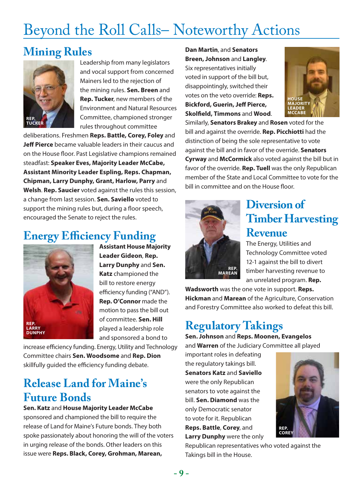## Beyond the Roll Calls– Noteworthy Actions

## **Mining Rules**



Leadership from many legislators and vocal support from concerned Mainers led to the rejection of the mining rules. **Sen. Breen** and **Rep. Tucker**, new members of the Environment and Natural Resources Committee, championed stronger rules throughout committee

deliberations. Freshmen **Reps. Battle, Corey, Foley** and **Jeff Pierce** became valuable leaders in their caucus and on the House floor. Past Legislative champions remained steadfast: **Speaker Eves, Majority Leader McCabe, Assistant Minority Leader Espling, Reps. Chapman, Chipman, Larry Dunphy, Grant, Harlow, Parry** and **Welsh**. **Rep. Saucier** voted against the rules this session, a change from last session. **Sen. Saviello** voted to support the mining rules but, during a floor speech, encouraged the Senate to reject the rules.

## **Energy Efficiency Funding**



**Assistant House Majority Leader Gideon**, **Rep. Larry Dunphy** and **Sen. Katz** championed the bill to restore energy efficiency funding ("AND"). **Rep. O'Connor** made the motion to pass the bill out of committee. **Sen. Hill** played a leadership role and sponsored a bond to

increase efficiency funding. Energy, Utility and Technology Committee chairs **Sen. Woodsome** and **Rep. Dion** skillfully guided the efficiency funding debate.

## **Release Land for Maine's Future Bonds**

**Sen. Katz** and **House Majority Leader McCabe** sponsored and championed the bill to require the release of Land for Maine's Future bonds. They both spoke passionately about honoring the will of the voters in urging release of the bonds. Other leaders on this issue were **Reps. Black, Corey, Grohman, Marean,** 

**Dan Martin**, and **Senators Breen, Johnson** and **Langley**. Six representatives initially voted in support of the bill but, disappointingly, switched their votes on the veto override: **Reps. Bickford, Guerin, Jeff Pierce, Skolfield, Timmons** and **Wood**.



Similarly, **Senators Brakey** and **Rosen** voted for the bill and against the override. **Rep. Picchiotti** had the distinction of being the sole representative to vote against the bill and in favor of the override. **Senators Cyrway** and **McCormick** also voted against the bill but in favor of the override. **Rep. Tuell** was the only Republican member of the State and Local Committee to vote for the bill in committee and on the House floor.



## **Diversion of Timber Harvesting Revenue**

The Energy, Utilities and Technology Committee voted 12-1 against the bill to divert timber harvesting revenue to an unrelated program. **Rep.** 

**Wadsworth** was the one vote in support. **Reps. Hickman** and **Marean** of the Agriculture, Conservation and Forestry Committee also worked to defeat this bill.

## **Regulatory Takings**

**Sen. Johnson** and **Reps. Moonen, Evangelos** and **Warren** of the Judiciary Committee all played

important roles in defeating the regulatory takings bill. **Senators Katz** and **Saviello** were the only Republican senators to vote against the bill. **Sen. Diamond** was the only Democratic senator to vote for it. Republican **Reps. Battle**, **Corey**, and **Larry Dunphy** were the only



Republican representatives who voted against the Takings bill in the House.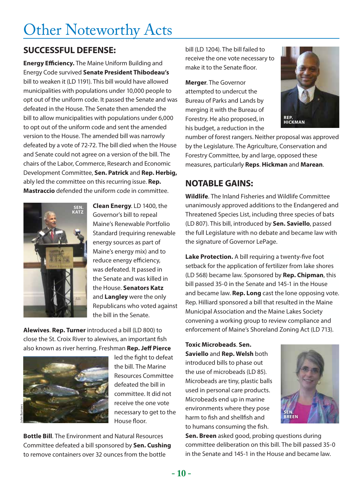## Other Noteworthy Acts

#### **SUCCESSFUL DEFENSE:**

**Energy Efficiency.** The Maine Uniform Building and Energy Code survived **Senate President Thibodeau's** bill to weaken it (LD 1191). This bill would have allowed municipalities with populations under 10,000 people to opt out of the uniform code. It passed the Senate and was defeated in the House. The Senate then amended the bill to allow municipalities with populations under 6,000 to opt out of the uniform code and sent the amended version to the House. The amended bill was narrowly defeated by a vote of 72-72. The bill died when the House and Senate could not agree on a version of the bill. The chairs of the Labor, Commerce, Research and Economic Development Committee, **Sen. Patrick** and **Rep. Herbig,** ably led the committee on this recurring issue. **Rep. Mastraccio** defended the uniform code in committee.



**Clean Energy**. LD 1400, the Governor's bill to repeal Maine's Renewable Portfolio Standard (requiring renewable energy sources as part of Maine's energy mix) and to reduce energy efficiency, was defeated. It passed in the Senate and was killed in the House. **Senators Katz** and **Langley** were the only Republicans who voted against the bill in the Senate.

**Alewives**. **Rep. Turner** introduced a bill (LD 800) to close the St. Croix River to alewives, an important fish also known as river herring. Freshman **Rep. Jeff Pierce**



led the fight to defeat the bill. The Marine Resources Committee defeated the bill in committee. It did not receive the one vote necessary to get to the House floor.

**Bottle Bill**. The Environment and Natural Resources Committee defeated a bill sponsored by **Sen. Cushing** to remove containers over 32 ounces from the bottle

bill (LD 1204). The bill failed to receive the one vote necessary to make it to the Senate floor.

**Merger**. The Governor attempted to undercut the Bureau of Parks and Lands by merging it with the Bureau of Forestry. He also proposed, in his budget, a reduction in the



number of forest rangers. Neither proposal was approved by the Legislature. The Agriculture, Conservation and Forestry Committee, by and large, opposed these measures, particularly **Reps**. **Hickman** and **Marean**.

#### **NOTABLE GAINS:**

**Wildlife**. The Inland Fisheries and Wildlife Committee unanimously approved additions to the Endangered and Threatened Species List, including three species of bats (LD 807). This bill, introduced by **Sen. Saviello**, passed the full Legislature with no debate and became law with the signature of Governor LePage.

**Lake Protection.** A bill requiring a twenty-five foot setback for the application of fertilizer from lake shores (LD 568) became law. Sponsored by **Rep. Chipman**, this bill passed 35-0 in the Senate and 145-1 in the House and became law. **Rep. Long** cast the lone opposing vote. Rep. Hilliard sponsored a bill that resulted in the Maine Municipal Association and the Maine Lakes Society convening a working group to review compliance and enforcement of Maine's Shoreland Zoning Act (LD 713).

**Toxic Microbeads**. **Sen. Saviello** and **Rep. Welsh** both introduced bills to phase out the use of microbeads (LD 85). Microbeads are tiny, plastic balls used in personal care products. Microbeads end up in marine environments where they pose harm to fish and shellfish and to humans consuming the fish.



**Sen. Breen** asked good, probing questions during committee deliberation on this bill. The bill passed 35-0 in the Senate and 145-1 in the House and became law.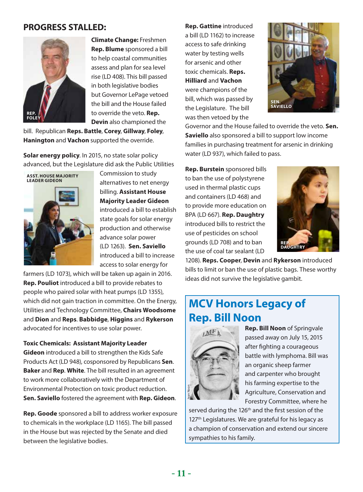#### **PROGRESS STALLED:**



**Climate Change:** Freshmen **Rep. Blume** sponsored a bill to help coastal communities assess and plan for sea level rise (LD 408). This bill passed in both legislative bodies but Governor LePage vetoed the bill and the House failed to override the veto. **Rep. Devin** also championed the

bill. Republican **Reps. Battle**, **Corey**, **Gillway**, **Foley**, **Hanington** and **Vachon** supported the override.

**Solar energy policy**. In 2015, no state solar policy advanced, but the Legislature did ask the Public Utilities



Commission to study alternatives to net energy billing. **Assistant House Majority Leader Gideon** introduced a bill to establish state goals for solar energy production and otherwise advance solar power (LD 1263). **Sen. Saviello** introduced a bill to increase access to solar energy for

farmers (LD 1073), which will be taken up again in 2016. **Rep. Pouliot** introduced a bill to provide rebates to people who paired solar with heat pumps (LD 1355), which did not gain traction in committee. On the Energy, Utilities and Technology Committee, **Chairs Woodsome** and **Dion** and **Reps**. **Babbidge**, **Higgins** and **Rykerson** advocated for incentives to use solar power.

**Toxic Chemicals: Assistant Majority Leader Gideon** introduced a bill to strengthen the Kids Safe Products Act (LD 948), cosponsored by Republicans **Sen**. **Baker** and **Rep**. **White**. The bill resulted in an agreement to work more collaboratively with the Department of Environmental Protection on toxic product reduction. **Sen. Saviello** fostered the agreement with **Rep. Gideon**.

**Rep. Goode** sponsored a bill to address worker exposure to chemicals in the workplace (LD 1165). The bill passed in the House but was rejected by the Senate and died between the legislative bodies.

**Rep. Gattine** introduced a bill (LD 1162) to increase access to safe drinking water by testing wells for arsenic and other toxic chemicals. **Reps. Hilliard** and **Vachon** were champions of the bill, which was passed by the Legislature. The bill was then vetoed by the



Governor and the House failed to override the veto. **Sen. Saviello** also sponsored a bill to support low income families in purchasing treatment for arsenic in drinking water (LD 937), which failed to pass.

**Rep. Burstein** sponsored bills to ban the use of polystyrene used in thermal plastic cups and containers (LD 468) and to provide more education on BPA (LD 667). **Rep. Daughtry** introduced bills to restrict the use of pesticides on school grounds (LD 708) and to ban the use of coal tar sealant (LD



1208). **Reps. Cooper**, **Devin** and **Rykerson** introduced bills to limit or ban the use of plastic bags. These worthy ideas did not survive the legislative gambit.

## **MCV Honors Legacy of Rep. Bill Noon**



**Rep. Bill Noon** of Springvale passed away on July 15, 2015 after fighting a courageous battle with lymphoma. Bill was an organic sheep farmer and carpenter who brought his farming expertise to the Agriculture, Conservation and Forestry Committee, where he

served during the 126<sup>th</sup> and the first session of the 127<sup>th</sup> Legislatures. We are grateful for his legacy as a champion of conservation and extend our sincere sympathies to his family.<br>
Agr<br>
served during the 126<sup>th</sup> a<br>
127<sup>th</sup> Legislatures. We are<br>
a champion of conservat<br>
sympathies to his family.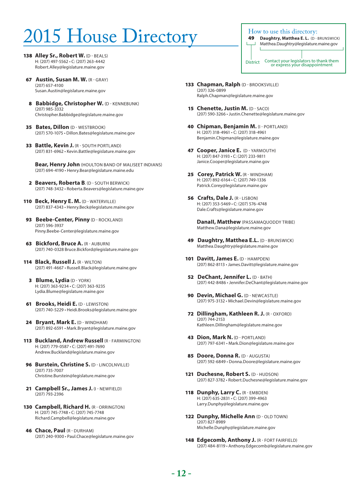# $2015$  House Directory How to use this directory:

- 138 **Alley Sr., Robert W.** (D BEALS) H: (207) 497-5562 • C: (207) 263-4442 Robert.Alley@legislature.maine.gov
- 67 **Austin, Susan M. W.** (R GRAY) (207) 657-4100 Susan.Austin@legislature.maine.gov
- 8 **Babbidge, Christopher W.** (D KENNEBUNK) (207) 985-3332 Christopher.Babbidge@legislature.maine.gov
- 35 **Bates, Dillon** (D WESTBROOK) (207) 570-1075 • Dillon.Bates@legislature.maine.gov
- 33 **Battle, Kevin J.** (R SOUTH PORTLAND) (207) 831-6962 • Kevin.Battle@legislature.maine.gov

 **Bear, Henry John** (HOULTON BAND OF MALISEET INDIANS) (207) 694-4190 • Henry.Bear@legislature.maine.edu

- 2 **Beavers, Roberta B**. (D SOUTH BERWICK) (207) 748-3432 • Roberta.Beavers@legislature.maine.gov
- 110 **Beck, Henry E. M.** (D WATERVILLE) (207) 837-4343 • Henry.Beck@legislature.maine.gov
- 93 **Beebe-Center, Pinny** (D ROCKLAND) (207) 596-3937 Pinny.Beebe-Center@legislature.maine.gov
- **63 Bickford, Bruce A. (R AUBURN)** (207) 740-0328 Bruce.Bickford@legislature.maine.gov
- 114 **Black, Russell J.** (R WILTON) (207) 491-4667 • Russell.Black@legislature.maine.gov
	- 3 **Blume, Lydia** (D YORK) H: (207) 363-9234 • C: (207) 363-9235 Lydia.Blume@legislature.maine.gov
- 61 **Brooks, Heidi E.** (D LEWISTON) (207) 740-5229 • Heidi.Brooks@legislature.maine.gov
- 24 **Bryant, Mark E.** (D WINDHAM) (207) 892-6591 • Mark.Bryant@legislature.maine.gov
- 113 **Buckland, Andrew Russell** (R FARMINGTON) H: (207) 779-0587 • C: (207) 491-7690 Andrew.Buckland@legislature.maine.gov
- **96 Burstein, Christine S. (D LINCOLNVILLE)** (207) 735-7007 Christine.Burstein@legislature.maine.gov
- 21 **Campbell Sr., James J.** (I NEWFIELD) (207) 793-2396
- 130 **Campbell, Richard H.** (R ORRINGTON) H: (207) 745-7748 • C: (207) 745-7748 Richard.Campbell@legislature.maine.gov
- 46 **Chace, Paul** (R DURHAM) (207) 240-9300 • Paul.Chace@legislature.maine.gov

- **Daughtry, Matthea E. L.** (D BRUNSWICK) Matthea.Daughtry@legislature.maine.gov District Contact your legislators to thank them or express your disappointment
- 133 **Chapman, Ralph (D BROOKSVILLE)** (207) 326-0899 Ralph.Chapman@legislature.maine.gov
- 15 **Chenette, Justin M.** (D SACO) (207) 590-3266 • Justin.Chenette@legislature.maine.gov
- 40 **Chipman, Benjamin M.** (I PORTLAND) H: (207) 318-4961 • C: (207) 318-4961 Benjamin.Chipman@legislature.maine.gov
- 47 **Cooper, Janice E.** (D YARMOUTH) H: (207) 847-3193 • C: (207) 233-9811 Janice.Cooper@legislature.maine.gov
- 25 **Corey, Patrick W.** (R WINDHAM) H: (207) 892-6164 • C: (207) 749-1336 Patrick.Corey@legislature.maine.gov
- 56 **Crafts, Dale J.** (R LISBON) H: (207) 353-5469 • C: (207) 576-4748 Dale.Crafts@legislature.maine.gov

 **DanaII, Matthew** (PASSAMAQUODDY TRIBE) Matthew.Dana@legislature.maine.gov

- **49 Daughtry, Matthea E.L. (D BRUNSWICK)** Matthea.Daughtry@legislature.maine.gov
- 101 **Davitt, James E.** (D HAMPDEN) (207) 862-8113 • James.Davitt@legislature.maine.gov
- 52 **DeChant, Jennifer L.** (D BATH) (207) 442-8486 • Jennifer.DeChant@legislature.maine.gov
- **90 Devin, Michael G. (D NEWCASTLE)** (207) 975-3132 • Michael.Devin@legislature.maine.gov
- 72 **Dillingham, Kathleen R. J.** (R OXFORD) (207) 744-2153 Kathleen.Dillingham@legislature.maine.gov
- 43 **Dion, Mark N.** (D PORTLAND) (207) 797-6341 • Mark.Dion@legislature.maine.gov
- 85 **Doore, Donna R.** (D AUGUSTA) (207) 592-6849 • Donna.Doore@legislature.maine.gov
- 121 **Duchesne, Robert S. (D HUDSON)** (207) 827-3782 • Robert.Duchesne@legislature.maine.gov
- 118 Dunphy, Larry C. (R EMBDEN) H: (207) 635-2831 • C: (207) 399-4963 Larry.Dunphy@legislature.maine.gov
- 122 **Dunphy, Michelle Ann** (D OLD TOWN) (207) 827-8989 Michelle.Dunphy@legislature.maine.gov
- 148 **Edgecomb, Anthony J.** (R FORT FAIRFIELD) (207) 484-8119 • Anthony.Edgecomb@legislature.maine.gov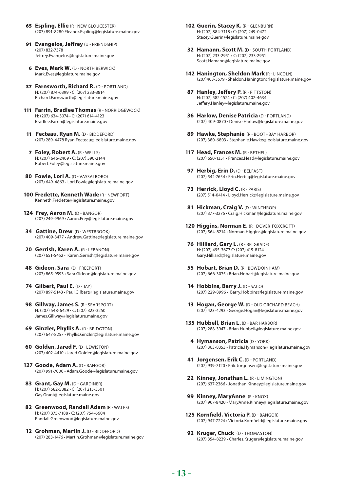- 65 **Espling, Ellie** (R NEW GLOUCESTER) (207) 891-8280 Eleanor.Espling@legislature.maine.gov
- 91 **Evangelos, Jeffrey** (U FRIENDSHIP) (207) 832-7378 Jeffrey.Evangelos@legislature.maine.gov
- 6 **Eves, Mark W.** (D NORTH BERWICK) Mark.Eves@legislature.maine.gov
- 37 Farnsworth, Richard R. (D PORTLAND) H: (207) 874-6399 • C: (207) 233-3814 Richard.Farnsworth@legislature.maine.gov
- 111 **Farrin, Bradlee Thomas** (R NORRIDGEWOCK) H: (207) 634-3074 • C: (207) 614-4123 Bradlee.Farrin@legislature.maine.gov
- 11 **Fecteau, Ryan M.** (D BIDDEFORD) (207) 289-4478 Ryan.Fecteau@legislature.maine.gov
- 7 **Foley, Robert A.** (R WELLS) H: (207) 646-2409 • C: (207) 590-2144 Robert.Foley@legislature.maine.gov
- 80 Fowle, Lori A. (D VASSALBORO) (207) 649-4863 • Lori.Fowle@legislature.maine.gov
- **100 Fredette, Kenneth Wade** (R NEWPORT) Kenneth.Fredette@legislature.maine.gov
- 124 Frey, Aaron M. (D BANGOR) (207) 249-9969 • Aaron.Frey@legislature.maine.gov
- **34 Gattine, Drew (D WESTBROOK)** (207) 409-3477 • Andrew.Gattine@legislature.maine.gov
- 20 Gerrish, Karen A. (R LEBANON) (207) 651-5452 • Karen.Gerrish@legislature.maine.gov
- **48 Gideon, Sara** (D FREEPORT) (207) 865-9593 • Sara.Gideon@legislature.maine.gov
- **74 Gilbert, Paul E.** (D JAY) (207) 897-5143 • Paul.Gilbert@legislature.maine.gov
- **98 Gillway, James S.** (R SEARSPORT) H: (207) 548-6429 • C: (207) 323-3250 James.Gillway@legislature.maine.gov
- **69 Ginzler, Phyllis A. (R BRIDGTON)** (207) 647-8257 • Phyllis.Ginzler@legislature.maine.gov
- **60 Golden, Jared F.** (D LEWISTON) (207) 402-4410 • Jared.Golden@legislature.maine.gov
- **127 Goode, Adam A.** (D BANGOR) (207) 991-7000 • Adam.Goode@legislature.maine.gov
- **83 Grant, Gay M.** (D GARDINER) H: (207) 582-5882 • C: (207) 215-3501 Gay.Grant@legislature.maine.gov
- **82 Greenwood, Randall Adam** (R WALES) H: (207) 375-7188 • C: (207) 754-6604 Randall.Greenwood@legislature.maine.gov
- **12 Grohman, Martin J.** (D BIDDEFORD) (207) 283-1476 • Martin.Grohman@legislature.maine.gov
- **102 Guerin, Stacey K.** (R GLENBURN) H: (207) 884-7118 • C: (207) 249-0472 Stacey.Guerin@legislature.maine.gov
- **32 Hamann, Scott M.** (D SOUTH PORTLAND) H: (207) 233-2951 • C: (207) 233-2951 Scott.Hamann@legislature.maine.gov
- **142 Hanington, Sheldon Mark** (R LINCOLN) (207)403-3579 • Sheldon.Hanington@legislature.maine.gov
- **87 Hanley, Jeffery P.** (R PITTSTON) H: (207) 582-1524 • C: (207) 402-4634 Jeffery.Hanley@legislature.maine.gov
- **36 Harlow, Denise Patricia** (D PORTLAND) (207) 409-0870 • Denise.Harlow@legislature.maine.gov
- **89 Hawke, Stephanie** (R BOOTHBAY HARBOR) (207) 380-6803 • Stephanie.Hawke@legislature.maine.gov
- **117 Head, Frances M.** (R BETHEL) (207) 650-1351 • Frances.Head@legislature.maine.gov
- **97 Herbig, Erin D.** (D BELFAST) (207) 542-7654 • Erin.Herbig@legislature.maine.gov
- **73 Herrick, Lloyd C.** (R PARIS) (207) 514-0414 • Lloyd.Herrick@legislature.maine.gov
- **81 Hickman, Craig V.** (D WINTHROP) (207) 377-3276 • Craig.Hickman@legislature.maine.gov
- **120 Higgins, Norman E.** (R DOVER-FOXCROFT) (207) 564-8214 • Norman.Higgins@legislature.maine.gov
- **76 Hilliard, Gary L.** (R BELGRADE) H: (207) 495-3677 C: (207) 415-8124 Gary.Hilliard@legislature.maine.gov
- **55 Hobart, Brian D.** (R BOWDOINHAM) (207) 666-3075 • Brian.Hobart@legislature.maine.gov
- **14 Hobbins, Barry J.** (D SACO) (207) 229-8996 • Barry.Hobbins@legislature.maine.gov
- 13 **Hogan, George W.** (D OLD ORCHARD BEACH) (207) 423-4293 • George.Hogan@legislature.maine.gov
- **135 Hubbell, Brian L.** (D BAR HARBOR) (207) 288-3947 • Brian.Hubbell@legislature.maine.gov
- **4 Hymanson, Patricia** (D YORK) (207) 363-8353 • Patricia.Hymanson@legislature.maine.gov
- **41 Jorgensen, Erik C.** (D PORTLAND) (207) 939-7120 • Erik.Jorgensen@legislature.maine.gov
- **22 Kinney, Jonathan L.** (R LIMINGTON) (207) 637-2366 • Jonathan.Kinney@legislature.maine.gov
- **99 Kinney, MaryAnne** (R KNOX) (207) 907-8420 • MaryAnne.Kinney@legislature.maine.gov
- **125 Kornfield, Victoria P.** (D BANGOR) (207) 947-7224 • Victoria.Kornfield@legislature.maine.gov
- **92 Kruger, Chuck (D-THOMASTON)** (207) 354-8239 • Charles.Kruger@legislature.maine.gov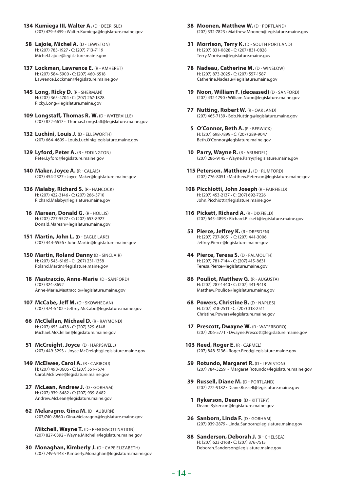- **134 Kumiega III, Walter A.** (D DEER ISLE) (207) 479-5459 • Walter.Kumiega@legislature.maine.gov
- **58 Lajoie, Michel A. (D LEWISTON)** H: (207) 783-1927 • C: (207) 713-7119 Michel.Lajoie@legislature.maine.gov
- **137 Lockman, Lawrence E.** (R AMHERST) H: (207) 584-5900 • C: (207) 460-6518 Lawrence.Lockman@legislature.maine.gov
- **145 Long, Ricky D.** (R SHERMAN) H: (207) 365-4704 • C: (207) 267-1828 Ricky.Long@legislature.maine.gov
- **109 Longstaff, Thomas R. W.** (D WATERVILLE) (207) 872-6617 • Thomas.Longstaff@legislature.maine.gov
- **132 Luchini, Louis J.** (D ELLSWORTH) (207) 664-4699 • Louis.Luchini@legislature.maine.gov
- 129 Lyford, Peter A. (R EDDINGTON) Peter.Lyford@legislature.maine.gov
- 140 Maker, Joyce A. (R CALAIS) (207) 454-2327 • Joyce.Maker@legislature.maine.gov
- **136 Malaby, Richard S.** (R HANCOCK) H: (207) 422-3146 • C: (207) 266-3710 Richard.Malaby@legislature.maine.gov
- **16 Marean, Donald G.** (R HOLLIS) H: (207) 727-5527 • C: (207) 653-8927 Donald.Marean@legislature.maine.gov
- **151 Martin, John L.** (D EAGLE LAKE) (207) 444-5556 • John.Martin@legislature.maine.gov
- **150 Martin, Roland Danny** (D SINCLAIR) H: (207) 543-6165 • C: (207) 231-1358 Roland.Martin@legislature.maine.gov
- **18 Mastraccio, Anne-Marie** (D SANFORD) (207) 324-8692 Anne-Marie.Mastraccio@legislature.maine.gov
- **107 McCabe, Jeff M.** (D SKOWHEGAN) (207) 474-5402 • Jeffrey.McCabe@legislature.maine.gov
- **66 McClellan, Michael D.** (R RAYMOND) H: (207) 655-4438 • C: (207) 329-6148 Michael.McClellan@legislature.maine.gov
- **51 McCreight, Joyce** (D HARPSWELL) (207) 449-3293 • Joyce.McCreight@legislature.maine.gov
- **149 McElwee, Carol A.** (R CARIBOU) H: (207) 498-8605 • C: (207) 551-7574 Carol.McElwee@legislature.maine.gov
- **27 McLean, Andrew J.** (D GORHAM) H: (207) 939-8482 • C: (207) 939-8482 Andrew.McLean@legislature.maine.gov
- **62 Melaragno, Gina M.** (D AUBURN) (207)740-8860 • Gina.Melaragno@legislature.maine.gov

 **Mitchell, Wayne T.** (D - PENOBSCOT NATION) (207) 827-0392 • Wayne.Mitchell@legislature.maine.gov

**30 Monaghan, Kimberly J.** (D - CAPE ELIZABETH) (207) 749-9443 • Kimberly.Monaghan@legislature.maine.gov

- **38 Moonen, Matthew W.** (D PORTLAND) (207) 332-7823 • Matthew.Moonen@legislature.maine.gov
- **31 Morrison, Terry K.** (D SOUTH PORTLAND) H: (207) 831-0828 • C: (207) 831-0828 Terry.Morrison@legislature.maine.gov
- **78 Nadeau, Catherine M.** (D WINSLOW) H: (207) 873-2025 • C: (207) 557-1587 Catherine.Nadeau@legislature.maine.gov
- **19 Noon, William F. (deceased)** (D SANFORD) (207) 432-1790 • William.Noon@legislature.maine.gov
- **77 Nutting, Robert W.** (R OAKLAND) (207) 465-7139 • Bob.Nutting@legislature.maine.gov
- **5 O'Connor, Beth A.** (R BERWICK) H: (207) 698-7899 • C: (207) 289-9047 Beth.O'Connor@legislature.maine.gov
- 10 **Parry, Wayne R.** (R ARUNDEL) (207) 286-9145 • Wayne.Parry@legislature.maine.gov
- **115 Peterson, Matthew J. (D RUMFORD)** (207) 776-8051 • Matthew.Peterson@legislature.maine.gov
- **108 Picchiotti, John Joseph** (R FAIRFIELD) H: (207) 453-2137 • C: (207) 692-7226 John.Picchiotti@legislature.maine.gov
- **116 Pickett, Richard A.** (R DIXFIELD) (207) 645-4893 • Richard.Pickett@legislature.maine.gov
- **53 Pierce, Jeffrey K.** (R DRESDEN) H: (207) 737-9051 • C: (207) 441-3006 Jeffrey.Pierce@legislature.maine.gov
- **44 Pierce, Teresa S.** (D FALMOUTH) H: (207) 781-7144 • C: (207) 415-8631 Teresa.Pierce@legislature.maine.gov
- **86 Pouliot, Matthew G. (R AUGUSTA)** H: (207) 287-1440 • C: (207) 441-9418 Matthew.Pouliot@legislature.maine.gov
- **68 Powers, Christine B. (D NAPLES)** H: (207) 318-2511 • C: (207) 318-2511 Christine.Powers@legislature.maine.gov
- **17 Prescott, Dwayne W. (R WATERBORO)** (207) 206-5771 • Dwayne.Prescott@legislature.maine.gov
- **103 Reed, Roger E.** (R CARMEL) (207) 848-5136 • Roger.Reed@legislature.maine.gov
- **59 Rotundo, Margaret R.** (D LEWISTON) (207) 784-3259 • Margaret.Rotundo@legislature.maine.gov
- **39 Russell, Diane M. (D PORTLAND)** (207) 272-9182 • Diane.Russell@legislature.maine.gov
- **1 Rykerson, Deane** (D KITTERY) Deane.Rykerson@legislature.maine.gov
- **26 Sanborn, Linda F.** (D GORHAM) (207) 939-2879 • Linda.Sanborn@legislature.maine.gov
- **88 Sanderson, Deborah J. (R CHELSEA)** H: (207) 623-2168 • C: (207) 376-7515 Deborah.Sanderson@legislature.maine.gov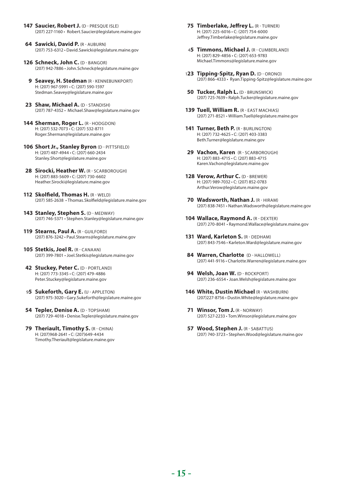- 147 Saucier, Robert J. (D PRESOUE ISLE) (207) 227-1160 • Robert.Saucier@legislature.maine.gov
- **64 Sawicki, David P. (R AUBURN)** (207) 753-6312 • David.Sawicki@legislature.maine.gov
- **126 Schneck, John C.** (D BANGOR) (207) 942-7886 • John.Schneck@legislature.maine.gov
	- **9 Seavey, H. Stedman** (R KENNEBUNKPORT) H: (207) 967-5991 • C: (207) 590-1597 Stedman.Seavey@legislature.maine.gov
- 23 Shaw, Michael A. (D STANDISH) (207) 787-4352 • Michael.Shaw@legislature.maine.gov
- 144 Sherman, Roger L. (R HODGDON) H: (207) 532-7073 • C: (207) 532-8711 Roger.Sherman@legislature.maine.gov
- **106 Short Jr., Stanley Byron** (D PITTSFIELD) H: (207) 487-4944 • C: (207) 660-2434 Stanley.Short@legislature.maine.gov
- 28 Sirocki, Heather W. (R SCARBOROUGH) H: (207) 883-5609 • C: (207) 730-6602 Heather.Sirocki@legislature.maine.gov
- **112 Skolfield, Thomas H.** (R WELD) (207) 585-2638 • Thomas.Skolfield@legislature.maine.gov
- 143 Stanley, Stephen S. (D MEDWAY) (207) 746-5371 • Stephen.Stanley@legislature.maine.gov
- **119 Stearns, Paul A. (R GUILFORD)** (207) 876-3242 • Paul.Stearns@legislature.maine.gov
- **105 Stetkis, Joel R. (R CANAAN)** (207) 399-7801 • Joel.Stetkis@legislature.maine.gov
- **42 Stuckey, Peter C. (D PORTLAND)** H: (207) 773-3345 • C: (207) 479-4886 Peter.Stuckey@legislature.maine.gov
- 95 **Sukeforth, Gary E. (U APPLETON)** (207) 975-3020 • Gary.Sukeforth@legislature.maine.gov
- **54 Tepler, Denise A. (D TOPSHAM)** (207) 729-4018 • Denise.Tepler@legislature.maine.gov
- **79 Theriault, Timothy S. (R CHINA)** H: (207)968-2641 • C: (207)649-4434 Timothy.Theriault@legislature.maine.gov
- **75 Timberlake, Jeffrey L. (R TURNER)** H: (207) 225-6016 • C: (207) 754-6000 Jeffrey.Timberlake@legislature.maine.gov
- 45 Timmons, Michael J. (R CUMBERLAND) H: (207) 829-4856 • C: (207) 653-9783 Michael.Timmons@legislature.maine.gov
- 123 Tipping-Spitz, Ryan D. (D ORONO) (207) 866-4333 • Ryan.Tipping-Spitz@legislature.maine.gov
- **50 Tucker, Ralph L.** (D BRUNSWICK) (207) 725-7639 • Ralph.Tucker@legislature.maine.gov
- **139 Tuell, William R. (R EAST MACHIAS)** (207) 271-8521 • William.Tuell@legislature.maine.gov
- **141 Turner, Beth P. (R BURLINGTON)** H: (207) 732-4625 • C: (207) 403-3383 Beth.Turner@legislature.maine.gov
- **29 Vachon, Karen** (R SCARBOROUGH) H: (207) 883-4715 • C: (207) 883-4715 Karen.Vachon@legislature.maine.gov
- 128 Verow, Arthur C. (D BREWER) H: (207) 989-7032 • C: (207) 852-0783 Arthur.Verow@legislature.maine.gov
- **70 Wadsworth, Nathan J. (R HIRAM)** (207) 838-7451 • Nathan.Wadsworth@legislature.maine.gov
- 104 Wallace, Raymond A. (R DEXTER) (207) 270-8041 • Raymond.Wallace@legislature.maine.gov
- 131 Ward, Karleton S. (R DEDHAM) (207) 843-7546 • Karleton.Ward@legislature.maine.gov
- 84 Warren, Charlotte (D HALLOWELL) (207) 441-9116 • Charlotte.Warren@legislature.maine.gov
- **94 Welsh, Joan W. (D ROCKPORT)** (207) 236-6554 • Joan.Welsh@legislature.maine.gov
- **146 White, Dustin Michael** (R WASHBURN) (207)227-8756 • Dustin.White@legislature.maine.gov
- **71 Winsor, Tom J.** (R NORWAY) (207) 527-2233 • Tom.Winsor@legislature.maine.gov
- **57 Wood, Stephen J. (R SABATTUS)** (207) 740-3723 • Stephen.Wood@legislature.maine.gov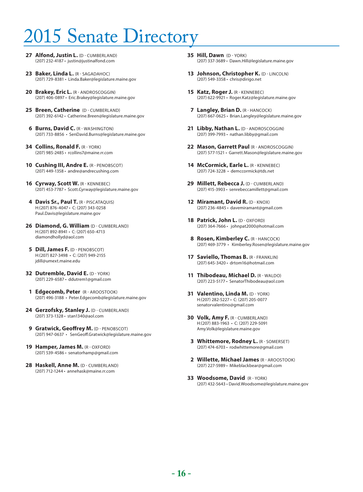# 015 Senate Directory

- **27 Alfond, Justin L.** (D CUMBERLAND) (207) 232-4187 • justin@justinalfond.com
- **23 Baker, Linda L.** (R SAGADAHOC) (207) 729-8381 • Linda.Baker@legislature.maine.gov
- **20 Brakey, Eric L.** (R ANDROSCOGGIN) (207) 406-0897 • Eric.Brakey@legislature.maine.gov
- **25 Breen, Catherine** (D CUMBERLAND) (207) 392-6142 • Catherine.Breen@legislature.maine.gov
- **6 Burns, David C.** (R WASHINGTON) (207) 733-8856 • SenDavid.Burns@legislature.maine.gov
- **34 Collins, Ronald F. (R YORK)** (207) 985-2485 • rcollins7@maine.rr.com
- **10 Cushing III, Andre E.** (R PENOBSCOT) (207) 449-1358 • andre@andrecushing.com
- 16 **Cyrway, Scott W.** (R KENNEBEC) (207) 453-7787 • Scott.Cyrway@legislature.maine.gov
- **4 Davis Sr., Paul T.** (R PISCATAQUIS) H:(207) 876-4047 • C: (207) 343-0258 Paul.Davis@legislature.maine.gov
- **26 Diamond, G. William** (D CUMBERLAND) H:(207) 892-8941 • C: (207) 650-4713 diamondhollyd@aol.com
- **5 Dill, James F.** (D PENOBSCOT) H:(207) 827-3498 • C: (207) 949-2155 jdill@umext.maine.edu
- **32 Dutremble, David E.** (D YORK) (207) 229-6587 • ddutrem1@gmail.com
- **1 Edgecomb, Peter** (R AROOSTOOK) (207) 496-3188 • Peter.Edgecomb@legislature.maine.gov
- 24 **Gerzofsky, Stanley J.** (D CUMBERLAND) (207) 373-1328 • stan1340@aol.com
- **9 Gratwick, Geoffrey M. (D PENOBSCOT)** (207) 947-0637 • SenGeoff.Gratwick@legislature.maine.gov
- **19 Hamper, James M.** (R OXFORD) (207) 539-4586 • senatorhamp@gmail.com
- **28 Haskell, Anne M.** (D CUMBERLAND) (207) 712-1244 • annehask@maine.rr.com
- **35 Hill, Dawn** (D YORK) (207) 337-3689 • Dawn.Hill@legislature.maine.gov
- **13 Johnson, Christopher K.** (D LINCOLN) (207) 549-3358 • chris@dirigo.net
- 15 Katz, Roger J. (R KENNEBEC) (207) 622-9921 • Roger.Katz@legislature.maine.gov
- **7 Langley, Brian D.** (R HANCOCK) (207) 667-0625 • Brian.Langley@legislature.maine.gov
- 21 Libby, Nathan L. (D ANDROSCOGGIN) (207) 399-7993 • nathan.libby@gmail.com
- **22 Mason, Garrett Paul** (R ANDROSCOGGIN) (207) 577-1521 • Garrett.Mason@legislature.maine.gov
- 14 **McCormick, Earle L.** (R KENNEBEC) (207) 724-3228 • demccormick@tds.net
- 29 **Millett, Rebecca J.** (D CUMBERLAND) (207) 415-3903 • senrebeccamillett@gmail.com
- 12 **Miramant, David R. (D KNOX)** (207) 236-4845 • davemiramant@gmail.com
- 18 **Patrick, John L.** (D OXFORD) (207) 364-7666 • johnpat2000@hotmail.com
- **8 Rosen, Kimberley C.** (R HANCOCK) (207) 469-3779 • Kimberley.Rosen@legislature.maine.gov
- **17 Saviello, Thomas B.** (R FRANKLIN) (207) 645-3420 • drtom16@hotmail.com
- **11 Thibodeau, Michael D.** (R WALDO) (207) 223-5177 • SenatorThibodeau@aol.com
- **31 Valentino, Linda M.** (D YORK) H:(207) 282-5227 • C: (207) 205-0077 senatorvalentino@gmail.com
- **30 Volk, Amy F.** (R CUMBERLAND) H:(207) 883-1963 • C: (207) 229-5091 Amy.Volk@legislature.maine.gov
- **3 Whittemore, Rodney L.** (R SOMERSET) (207) 474-6703 • rodwhittemore@gmail.com
- **2 Willette, Michael James** (R AROOSTOOK) (207) 227-5989 • Mikeblackbear@gmail.com
- **33 Woodsome, David** (R YORK) (207) 432-5643 • David.Woodsome@legislature.maine.gov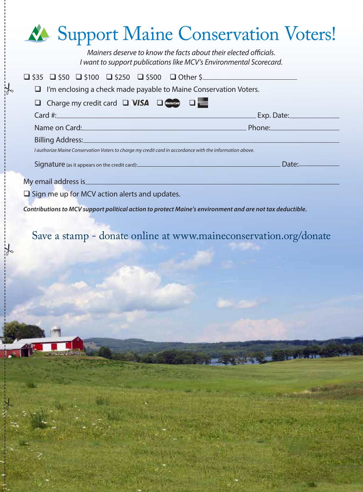| <b>Allen Support Maine Conservation Voters!</b>                                                                                        |
|----------------------------------------------------------------------------------------------------------------------------------------|
| Mainers deserve to know the facts about their elected officials.<br>I want to support publications like MCV's Environmental Scorecard. |
| $\Box$ \$35 $\Box$ \$50 $\Box$ \$100 $\Box$ \$250 $\Box$ \$500 $\Box$ Other \$                                                         |
| $\Box$ I'm enclosing a check made payable to Maine Conservation Voters.                                                                |
| Charge my credit card $\Box$ VISA $\Box$ (assetsing $\Box$                                                                             |
| _ Exp. Date:________________                                                                                                           |
| Name on Card: Name on Card: Name on Card: Name on Card: Name on Card: Name on Card: Name on Card: Name on Card                         |
|                                                                                                                                        |
| I authorize Maine Conservation Voters to charge my credit card in accordance with the information above.                               |
| Date:<br>Signature (as it appears on the credit card):<br>Signature (as it appears on the credit card):                                |
| My email address is<br>$\Box$ Sign me up for MCV action alerts and updates.                                                            |
|                                                                                                                                        |

*Contributions to MCV support political action to protect Maine's environment and are not tax deductible.*

 $\frac{1}{2}$ 

 $\frac{1}{6}$ 

 $\frac{1}{6}$ 

Save a stamp - donate online at www.maineconservation.org/donate